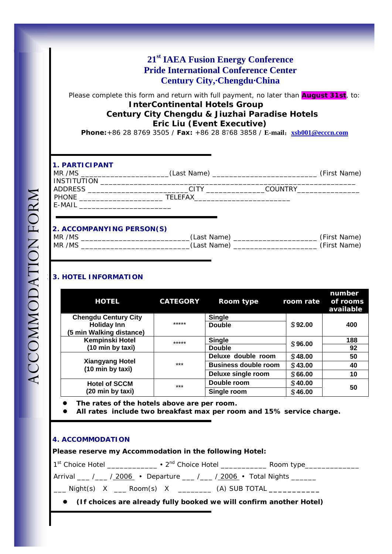# **21st IAEA Fusion Energy Conference Pride International Conference Center Century City,·Chengdu·China**

Please complete this form and return with full payment, no later than **August 31st**, to: **InterContinental Hotels Group Century City Chengdu & Jiuzhai Paradise Hotels Eric Liu (Event Executive)** 

**Phone:**+86 28 8769 3505 / **Fax:** +86 28 8768 3858 / **E-mail**:**xsb001@ecccn.com**

## **1. PARTICIPANT**

| MR /MS             | (Last Name)    |                | (First Name) |
|--------------------|----------------|----------------|--------------|
| <b>INSTITUTION</b> |                |                |              |
| <b>ADDRESS</b>     | CITY           | <b>COUNTRY</b> |              |
| PHONE              | <b>TELEFAX</b> |                |              |
| E-MAIL             |                |                |              |
|                    |                |                |              |

### **2. ACCOMPANYING PERSON(S)**

| /MS<br>MR              | $1 - \frac{1}{2}$<br>n c<br>ייוו<br>не | .<br>iva       |
|------------------------|----------------------------------------|----------------|
| MR <sup>1</sup><br>/MS | аs<br>™⊿<br>.ne<br>.                   | $\cdots$<br>NΆ |
|                        |                                        |                |

## **3. HOTEL INFORMATION**

| <b>HOTEL</b>                               | <b>CATEGORY</b> | Room type                   | room rate | number<br>of rooms<br>available |
|--------------------------------------------|-----------------|-----------------------------|-----------|---------------------------------|
| <b>Chengdu Century City</b>                |                 | <b>Single</b>               |           |                                 |
| <b>Holiday Inn</b>                         | *****           | <b>Double</b>               | \$92.00   | 400                             |
| (5 min Walking distance)                   |                 |                             |           |                                 |
| <b>Kempinski Hotel</b>                     | *****           | <b>Single</b>               | \$96.00   | 188                             |
| (10 min by taxi)                           |                 | <b>Double</b>               |           | 92                              |
|                                            | $***$           | Deluxe double room          | \$48.00   | 50                              |
| <b>Xiangyang Hotel</b><br>(10 min by taxi) |                 | <b>Business double room</b> | \$43.00   | 40                              |
|                                            |                 | Deluxe single room          | \$66.00   | 10                              |
| <b>Hotel of SCCM</b>                       | $***$           | Double room                 | \$40.00   | 50                              |
| (20 min by taxi)                           |                 | Single room                 | \$46.00   |                                 |

The rates of the hotels above are per room.

z **All rates include two breakfast max per room and 15% service charge.** 

#### **4. ACCOMMODATION**

 **Please reserve my Accommodation in the following Hotel:** 

1st Choice Hotel \_\_\_\_\_\_\_\_\_\_\_\_ y 2nd Choice Hotel \_\_\_\_\_\_\_\_\_\_\_ Room type\_\_\_\_\_\_\_\_\_\_\_\_\_

Arrival \_\_\_ /\_\_\_ / 2006 • Departure \_\_\_ /\_\_\_ / 2006 • Total Nights \_\_\_\_\_\_

\_\_\_ Night(s) X \_\_\_ Room(s) X \_\_\_\_\_\_\_\_ (A) SUB TOTAL **\_\_\_\_\_\_\_\_\_\_\_** 

**•** (If choices are already fully booked we will confirm another Hotel)